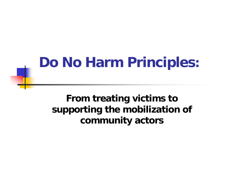#### **From treating victims to supporting the mobilization of community actors**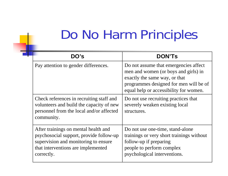| DO's                                                                                                                                                                        | <b>DON'TS</b>                                                                                                                                                                                      |
|-----------------------------------------------------------------------------------------------------------------------------------------------------------------------------|----------------------------------------------------------------------------------------------------------------------------------------------------------------------------------------------------|
| Pay attention to gender differences.                                                                                                                                        | Do not assume that emergencies affect<br>men and women (or boys and girls) in<br>exactly the same way, or that<br>programmes designed for men will be of<br>equal help or accessibility for women. |
| Check references in recruiting staff and<br>volunteers and build the capacity of new<br>personnel from the local and/or affected<br>community.                              | Do not use recruiting practices that<br>severely weaken existing local<br>structures.                                                                                                              |
| After trainings on mental health and<br>psychosocial support, provide follow-up<br>supervision and monitoring to ensure<br>that interventions are implemented<br>correctly. | Do not use one-time, stand-alone<br>trainings or very short trainings without<br>follow-up if preparing<br>people to perform complex<br>psychological interventions.                               |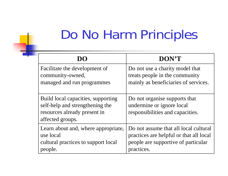| $1)$ ()                                                                                                                   | DON'T                                                                                          |
|---------------------------------------------------------------------------------------------------------------------------|------------------------------------------------------------------------------------------------|
| Facilitate the development of                                                                                             | Do not use a charity model that                                                                |
| community-owned,                                                                                                          | treats people in the community                                                                 |
| managed and run programmes                                                                                                | mainly as beneficiaries of services.                                                           |
| Build local capacities, supporting<br>self-help and strengthening the<br>resources already present in<br>affected groups. | Do not organise supports that<br>undermine or ignore local<br>responsibilities and capacities. |
| Learn about and, where appropriate,                                                                                       | Do not assume that all local cultural                                                          |
| use local                                                                                                                 | practices are helpful or that all local                                                        |
| cultural practices to support local                                                                                       | people are supportive of particular                                                            |
| people.                                                                                                                   | practices.                                                                                     |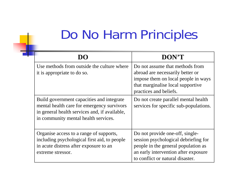|                                                                                                                                                                                  | DON'T                                                                                                                                                                                      |
|----------------------------------------------------------------------------------------------------------------------------------------------------------------------------------|--------------------------------------------------------------------------------------------------------------------------------------------------------------------------------------------|
| Use methods from outside the culture where<br>it is appropriate to do so.                                                                                                        | Do not assume that methods from<br>abroad are necessarily better or<br>impose them on local people in ways<br>that marginalise local supportive<br>practices and beliefs.                  |
| Build government capacities and integrate<br>mental health care for emergency survivors<br>in general health services and, if available,<br>in community mental health services. | Do not create parallel mental health<br>services for specific sub-populations.                                                                                                             |
| Organise access to a range of supports,<br>including psychological first aid, to people<br>in acute distress after exposure to an<br>extreme stressor.                           | Do not provide one-off, single-<br>session psychological debriefing for<br>people in the general population as<br>an early intervention after exposure<br>to conflict or natural disaster. |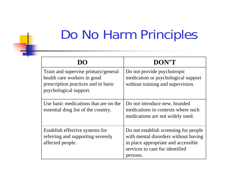| DO                                                                                                                                  | DON'T                                                                                                                                                               |
|-------------------------------------------------------------------------------------------------------------------------------------|---------------------------------------------------------------------------------------------------------------------------------------------------------------------|
| Train and supervise primary/general<br>health care workers in good<br>prescription practices and in basic<br>psychological support. | Do not provide psychotropic<br>medication or psychological support<br>without training and supervision.                                                             |
| Use basic medications that are on the<br>essential drug list of the country.                                                        | Do not introduce new, branded<br>medications in contexts where such<br>medications are not widely used.                                                             |
| Establish effective systems for<br>referring and supporting severely<br>affected people.                                            | Do not establish screening for people<br>with mental disorders without having<br>in place appropriate and accessible<br>services to care for identified<br>persons. |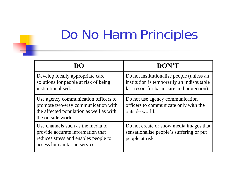|                                                                                                                                                 | DON'T                                                                                                                                  |
|-------------------------------------------------------------------------------------------------------------------------------------------------|----------------------------------------------------------------------------------------------------------------------------------------|
| Develop locally appropriate care<br>solutions for people at risk of being<br>institutionalised.                                                 | Do not institutionalise people (unless an<br>institution is temporarily an indisputable<br>last resort for basic care and protection). |
| Use agency communication officers to<br>promote two-way communication with<br>the affected population as well as with<br>the outside world.     | Do not use agency communication<br>officers to communicate only with the<br>outside world.                                             |
| Use channels such as the media to<br>provide accurate information that<br>reduces stress and enables people to<br>access humanitarian services. | Do not create or show media images that<br>sensationalise people's suffering or put<br>people at risk.                                 |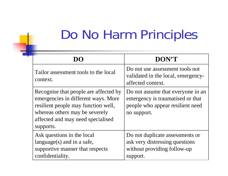|                                                                                                                                                                                                         | <b>DON'T</b>                                                                                                             |
|---------------------------------------------------------------------------------------------------------------------------------------------------------------------------------------------------------|--------------------------------------------------------------------------------------------------------------------------|
| Tailor assessment tools to the local<br>context.                                                                                                                                                        | Do not use assessment tools not<br>validated in the local, emergency-<br>affected context.                               |
| Recognise that people are affected by<br>emergencies in different ways. More<br>resilient people may function well,<br>whereas others may be severely<br>affected and may need specialised<br>supports. | Do not assume that everyone in an<br>emergency is traumatised or that<br>people who appear resilient need<br>no support. |
| Ask questions in the local<br>language $(s)$ and in a safe,<br>supportive manner that respects<br>confidentiality.                                                                                      | Do not duplicate assessments or<br>ask very distressing questions<br>without providing follow-up<br>support.             |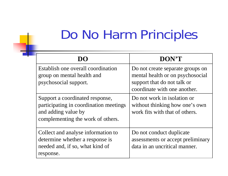| $\blacksquare$                                                                                                                        | DON'T                                                                                                                               |
|---------------------------------------------------------------------------------------------------------------------------------------|-------------------------------------------------------------------------------------------------------------------------------------|
| Establish one overall coordination<br>group on mental health and<br>psychosocial support.                                             | Do not create separate groups on<br>mental health or on psychosocial<br>support that do not talk or<br>coordinate with one another. |
| Support a coordinated response,<br>participating in coordination meetings<br>and adding value by<br>complementing the work of others. | Do not work in isolation or<br>without thinking how one's own<br>work fits with that of others.                                     |
| Collect and analyse information to<br>determine whether a response is<br>needed and, if so, what kind of<br>response.                 | Do not conduct duplicate<br>assessments or accept preliminary<br>data in an uncritical manner.                                      |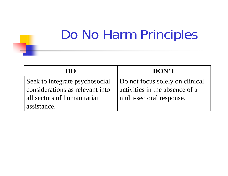| DO                              | DON'T                           |
|---------------------------------|---------------------------------|
| Seek to integrate psychosocial  | Do not focus solely on clinical |
| considerations as relevant into | activities in the absence of a  |
| all sectors of humanitarian     | multi-sectoral response.        |
| assistance.                     |                                 |